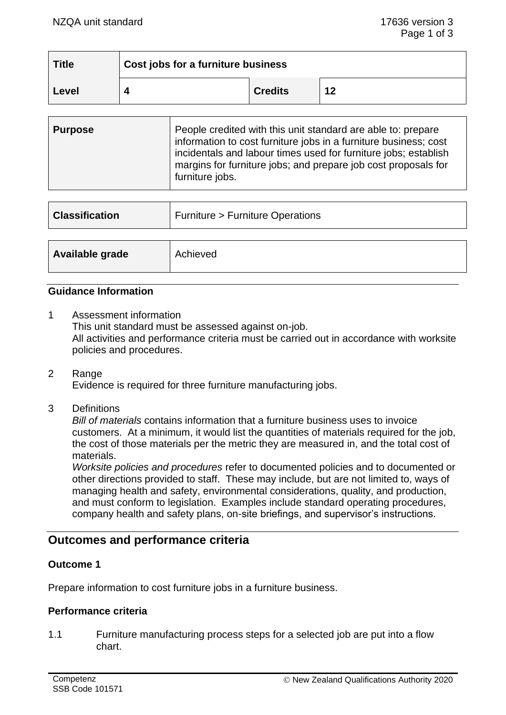| <b>Title</b> | Cost jobs for a furniture business |                |    |
|--------------|------------------------------------|----------------|----|
| Level        |                                    | <b>Credits</b> | 12 |

| <b>Purpose</b> | People credited with this unit standard are able to: prepare<br>information to cost furniture jobs in a furniture business; cost<br>incidentals and labour times used for furniture jobs; establish<br>margins for furniture jobs; and prepare job cost proposals for<br>furniture jobs. |
|----------------|------------------------------------------------------------------------------------------------------------------------------------------------------------------------------------------------------------------------------------------------------------------------------------------|
|                |                                                                                                                                                                                                                                                                                          |

| <b>Classification</b> | <b>Furniture &gt; Furniture Operations</b> |
|-----------------------|--------------------------------------------|
| Available grade       | Achieved                                   |

#### **Guidance Information**

- 1 Assessment information This unit standard must be assessed against on-job. All activities and performance criteria must be carried out in accordance with worksite policies and procedures.
- 2 Range Evidence is required for three furniture manufacturing jobs.
- 3 Definitions

*Bill of materials* contains information that a furniture business uses to invoice customers. At a minimum, it would list the quantities of materials required for the job, the cost of those materials per the metric they are measured in, and the total cost of materials.

*Worksite policies and procedures* refer to documented policies and to documented or other directions provided to staff. These may include, but are not limited to, ways of managing health and safety, environmental considerations, quality, and production, and must conform to legislation. Examples include standard operating procedures, company health and safety plans, on-site briefings, and supervisor's instructions.

# **Outcomes and performance criteria**

#### **Outcome 1**

Prepare information to cost furniture jobs in a furniture business.

#### **Performance criteria**

1.1 Furniture manufacturing process steps for a selected job are put into a flow chart.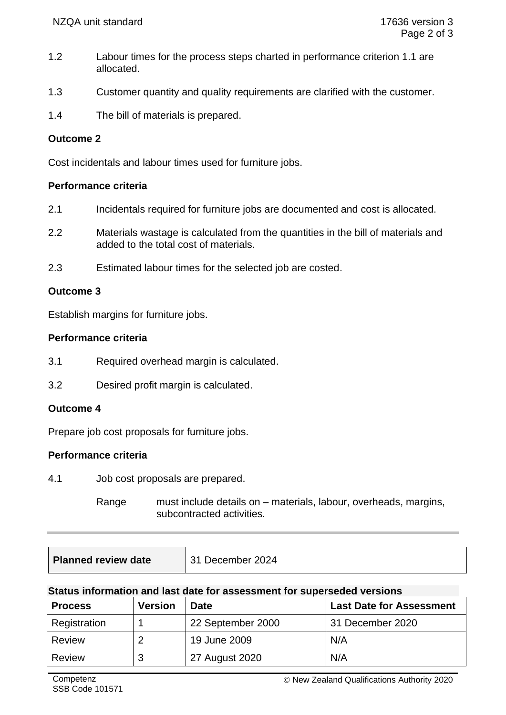- 1.2 Labour times for the process steps charted in performance criterion 1.1 are allocated.
- 1.3 Customer quantity and quality requirements are clarified with the customer.
- 1.4 The bill of materials is prepared.

## **Outcome 2**

Cost incidentals and labour times used for furniture jobs.

## **Performance criteria**

- 2.1 Incidentals required for furniture jobs are documented and cost is allocated.
- 2.2 Materials wastage is calculated from the quantities in the bill of materials and added to the total cost of materials.
- 2.3 Estimated labour times for the selected job are costed.

## **Outcome 3**

Establish margins for furniture jobs.

#### **Performance criteria**

- 3.1 Required overhead margin is calculated.
- 3.2 Desired profit margin is calculated.

## **Outcome 4**

Prepare job cost proposals for furniture jobs.

## **Performance criteria**

4.1 Job cost proposals are prepared.

Range must include details on – materials, labour, overheads, margins, subcontracted activities.

| <b>Planned review date</b> | December 2024 |
|----------------------------|---------------|
|----------------------------|---------------|

#### **Status information and last date for assessment for superseded versions**

| <b>Process</b> | <b>Version</b> | <b>Date</b>       | <b>Last Date for Assessment</b> |
|----------------|----------------|-------------------|---------------------------------|
| Registration   |                | 22 September 2000 | 31 December 2020                |
| <b>Review</b>  | 2              | 19 June 2009      | N/A                             |
| <b>Review</b>  | 3              | 27 August 2020    | N/A                             |